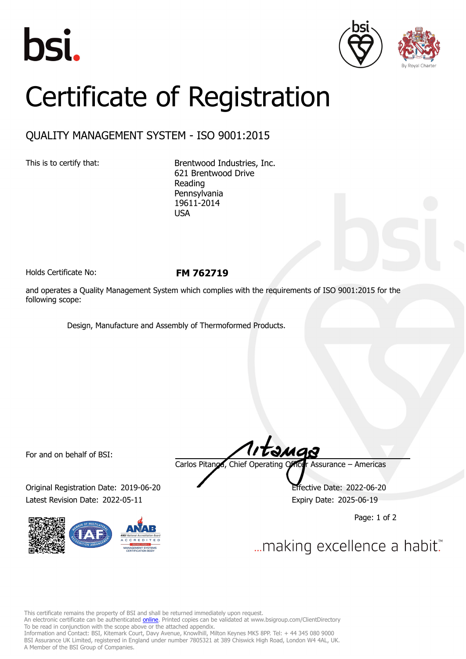





## Certificate of Registration

## QUALITY MANAGEMENT SYSTEM - ISO 9001:2015

This is to certify that: Brentwood Industries, Inc. 621 Brentwood Drive Reading Pennsylvania 19611-2014 USA

Holds Certificate No: **FM 762719**

and operates a Quality Management System which complies with the requirements of ISO 9001:2015 for the following scope:

Design, Manufacture and Assembly of Thermoformed Products.

For and on behalf of BSI:

Original Registration Date: 2019-06-20 Effective Date: 2022-06-20 Latest Revision Date: 2022-05-11 Expiry Date: 2025-06-19



tamas Carlos Pitanga, Chief Operating Officer Assurance – Americas

Page: 1 of 2

... making excellence a habit."

This certificate remains the property of BSI and shall be returned immediately upon request.

An electronic certificate can be authenticated *[online](https://pgplus.bsigroup.com/CertificateValidation/CertificateValidator.aspx?CertificateNumber=FM+762719&ReIssueDate=11%2f05%2f2022&Template=inc)*. Printed copies can be validated at www.bsigroup.com/ClientDirectory To be read in conjunction with the scope above or the attached appendix.

Information and Contact: BSI, Kitemark Court, Davy Avenue, Knowlhill, Milton Keynes MK5 8PP. Tel: + 44 345 080 9000 BSI Assurance UK Limited, registered in England under number 7805321 at 389 Chiswick High Road, London W4 4AL, UK. A Member of the BSI Group of Companies.